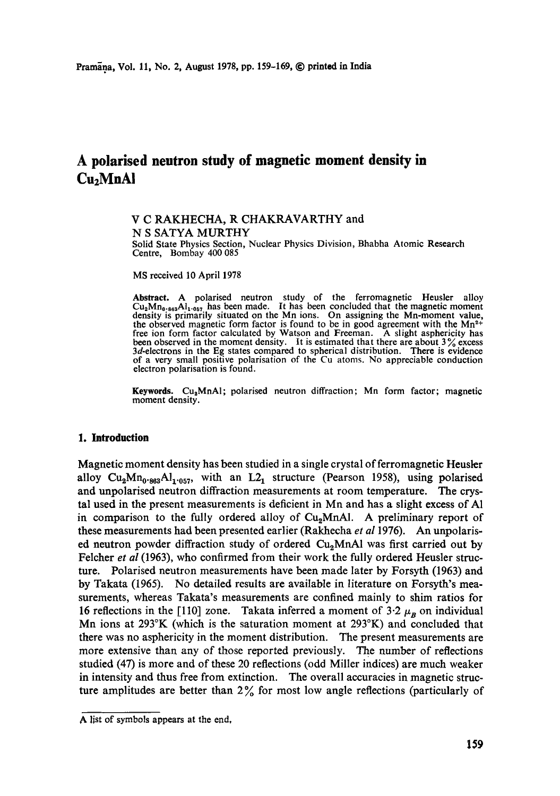# **A polarised neutron study of magnetic moment density in Cu2MnAI**

### V C RAKHECHA, R CHAKRAVARTHY and N S SATYA MURTHY

Solid State Physics Section, Nuclear Physics Division, Bhabha Atomic Research Centre, Bombay 400 085

MS received 10 April 1978

**Abstract.** A polarised neutron study of the ferromagnetic Heusler alloy  $Cu<sub>2</sub>Mn<sub>0-863</sub>Al<sub>1-057</sub>$  has been made. It has been concluded that the magnetic moment value, density is primarily situated on the Mn ions. On assigning the Mn-moment value, the observed magnetic form factor is found to be in good agreement with the  $Mn^{2+}$ free ion form factor calculated by Watson and Freeman. A slight asphericity has been observed in the moment density. It is estimated that there are about  $3\%$  excess  $3d$ -electrons in the Eg states compared to spherical distribution. There is evidence of a very small positive polarisation of the Cu atoms. No appreciable conduction electron polarisation is found.

**Keywords.** Cu<sub>a</sub>MnAI; polarised neutron diffraction; Mn form factor; magnetic moment density.

# **1. Introduction**

Magnetic moment density has been studied in a single crystal of ferromagnetic Heusler alloy  $Cu<sub>2</sub>Mn<sub>0.963</sub>Al<sub>1.057</sub>$ , with an  $L2<sub>1</sub>$  structure (Pearson 1958), using polarised and unpolarised neutron diffraction measurements at room temperature. The crystal used in the present measurements is deficient in Mn and has a slight excess of A1 in comparison to the fully ordered alloy of Cu<sub>2</sub>MnAl. A preliminary report of these measurements had been presented earlier (Rakhecha *et al* 1976). An unpolarised neutron powder diffraction study of ordered Cu<sub>2</sub>MnAl was first carried out by Felcher *et al* (1963), who confirmed from their work the fully ordered Heusler structure. Polarised neutron measurements have been made later by Forsyth (1963) and by Takata (1965). No detailed results are available in literature on Forsyth's measurements, whereas Takata's measurements are confined mainly to shim ratios for 16 reflections in the [110] zone. Takata inferred a moment of  $3.2\mu_B$  on individual Mn ions at 293°K (which is the saturation moment at 293°K) and concluded that there was no asphericity in the moment distribution. The present measurements are more extensive than any of those reported previously. The number of reflections studied (47) is more and of these 20 reflections (odd Miller indices) are much weaker in intensity and thus free from extinction. The overall accuracies in magnetic structure amplitudes are better than  $2\%$  for most low angle reflections (particularly of

A list of symbols appears at the end,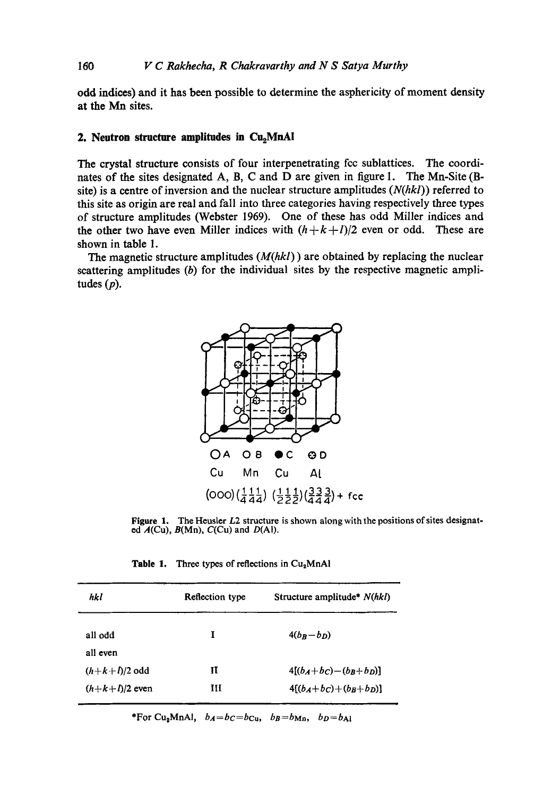odd indices) and it has been possible to determine the asphericity of moment density at the Mn sites.

# **2. Neutron structure amplitudes in Cu<sub>2</sub>MnAI**

The crystal structure consists of four interpenetrating fcc sublattices. The coordinates of the sites designated A, B, C and D are given in figure 1. The Mn-Site (Bsite) is a centre of inversion and the nuclear structure amplitudes *(N(hkl))* referred to this site as origin are real and fall into three categories having respectively three types of structure amplitudes (Webster 1969). One of these has odd Miller indices and the other two have even Miller indices with  $(h+k+l)/2$  even or odd. These are shown in table 1.

The magnetic structure amplitudes *(M(hkl))* are obtained by replacing the nuclear scattering amplitudes  $(b)$  for the individual sites by the respective magnetic amplitudes (p).



**Figure** 1. The Heusier L2 structure is shown along with the positions of sites designated  $A$ (Cu),  $B$ (Mn),  $C$ (Cu) and  $D$ (Al).

| Table 1. |  |  |  |  | Three types of reflections in $Cu2MnAl$ |  |  |
|----------|--|--|--|--|-----------------------------------------|--|--|
|----------|--|--|--|--|-----------------------------------------|--|--|

| hkl              | Reflection type | Structure amplitude* N(hkl)    |  |  |
|------------------|-----------------|--------------------------------|--|--|
| all odd          | I               | $4(b_B-b_D)$                   |  |  |
| all even         |                 |                                |  |  |
| $(h+k+l)/2$ odd  | п               | $4[(b_A+b_C)-(b_B+b_D)]$       |  |  |
| $(h+k+l)/2$ even | ш               | $4[(b_A + b_C) + (b_B + b_D)]$ |  |  |

\*For Cu<sub>2</sub>MnAl,  $b_A = b_C = b_C$ <sub>u</sub>,  $b_B = b_{Mn}$ ,  $b_D = b_{A1}$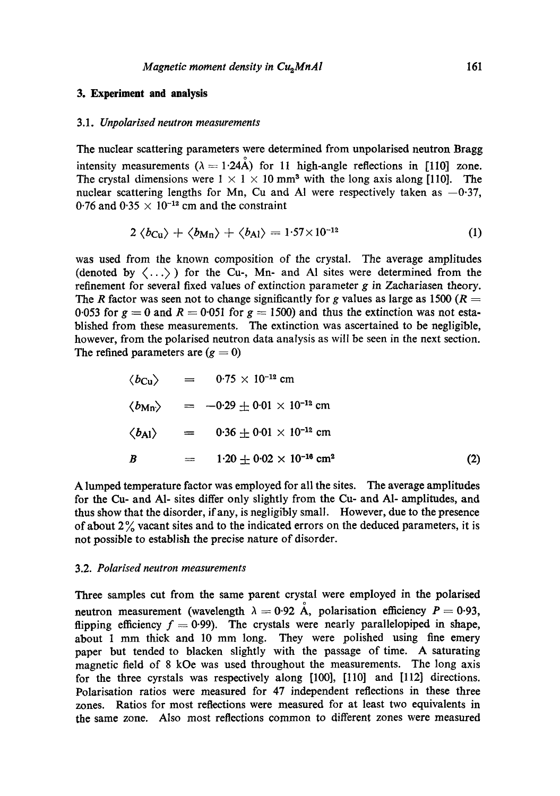#### **3. Experiment and analysis**

#### *3.1. Unpolarised neutron measurements*

The nuclear scattering parameters were determined from unpolarised neutron Bragg intensity measurements ( $\lambda = 1.24$ A) for 11 high-angle reflections in [110] zone. The crystal dimensions were  $1 \times 1 \times 10$  mm<sup>3</sup> with the long axis along [110]. The nuclear scattering lengths for Mn, Cu and Al were respectively taken as  $-0.37$ , 0.76 and 0.35  $\times$  10<sup>-12</sup> cm and the constraint

$$
2 \langle b_{\text{Cu}} \rangle + \langle b_{\text{Mn}} \rangle + \langle b_{\text{Al}} \rangle = 1.57 \times 10^{-12} \tag{1}
$$

was used from the known composition of the crystal. The average amplitudes (denoted by  $\langle \ldots \rangle$ ) for the Cu-, Mn- and Al sites were determined from the refinement for several fixed values of extinction parameter  $g$  in Zachariasen theory. The R factor was seen not to change significantly for g values as large as 1500 ( $R =$ 0.053 for  $g = 0$  and  $R = 0.051$  for  $g = 1500$ ) and thus the extinction was not established from these measurements. The extinction was ascertained to be negligible, however, from the polarised neutron data analysis as will be seen in the next section. The refined parameters are  $(g = 0)$ 

$$
\langle b_{\text{Cu}} \rangle = 0.75 \times 10^{-12} \text{ cm}
$$
  
\n
$$
\langle b_{\text{Mn}} \rangle = -0.29 \pm 0.01 \times 10^{-12} \text{ cm}
$$
  
\n
$$
\langle b_{\text{Al}} \rangle = 0.36 \pm 0.01 \times 10^{-12} \text{ cm}
$$
  
\n
$$
B = 1.20 \pm 0.02 \times 10^{-16} \text{ cm}^2
$$
 (2)

A lumped temperature factor was employed for all the sites. The average amplitudes for the Cu- and AI- sites differ only slightly from the Cu- and A1- amplitudes, and thus show that the disorder, ifany, is negligibly small. However, due to the presence of about  $2\%$  vacant sites and to the indicated errors on the deduced parameters, it is not possible to establish the precise nature of disorder.

#### 3.2. *Polarised neutron measurements*

Three samples cut from the same parent crystal were employed in the polarised neutron measurement (wavelength  $\lambda = 0.92 \text{ Å}$ , polarisation efficiency  $P = 0.93$ , flipping efficiency  $f = 0.99$ . The crystals were nearly parallelopiped in shape, about 1 mm thick and 10 mm long. They were polished using fine emery paper but tended to blacken slightly with the passage of time. A saturating magnetic field of 8 kOe was used throughout the measurements. The long axis for the three cyrstals was respectively along [100], [110] and [112] directions. Polarisation ratios were measured for 47 independent reflections in these three zones. Ratios for most reflections were measured for at least two equivalents in the same zone. Also most reflections common to different zones were measured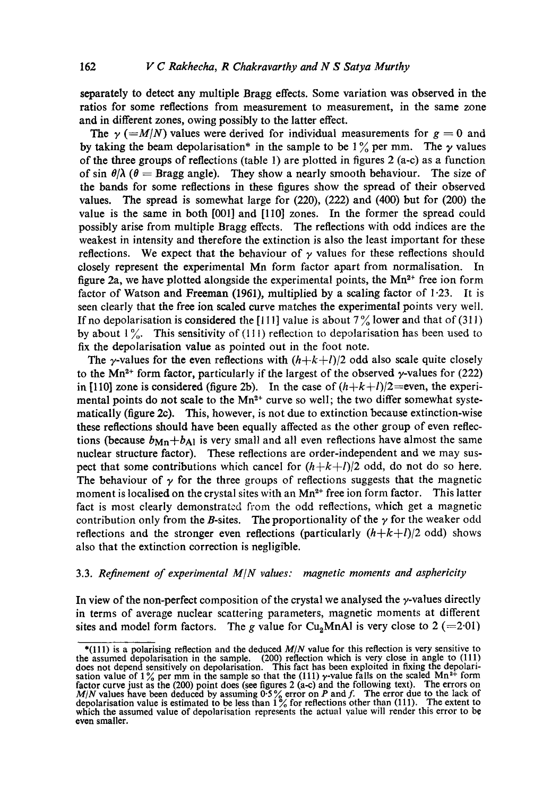separately to detect any multiple Bragg effects. Some variation was observed in the ratios for some reflections from measurement to measurement, in the same zone and in different zones, owing possibly to the latter effect.

The  $\gamma$  (=M/N) values were derived for individual measurements for  $g = 0$  and by taking the beam depolarisation\* in the sample to be  $1\%$  per mm. The y values of the three groups of reflections (table 1) are plotted in figures 2 (a-c) as a function of sin  $\theta/\lambda$  ( $\theta$  = Bragg angle). They show a nearly smooth behaviour. The size of the bands for some reflections in these figures show the spread of their observed values. The spread is somewhat large for (220), (222) and (400) but for (200) the value is the same in both [001] and [110] zones. In the former the spread could possibly arise from multiple Bragg effects. The reflections with odd indices are the weakest in intensity and therefore the extinction is also the least important for these reflections. We expect that the behaviour of  $\gamma$  values for these reflections should closely represent the experimental Mn form factor apart from normalisation. In figure 2a, we have plotted alongside the experimental points, the  $Mn^{2+}$  free ion form factor of Watson and Freeman (1961), multiplied by a scaling factor of 1.23. It is seen clearly that the free ion scaled curve matches the experimental points very well. If no depolarisation is considered the [111] value is about  $7\frac{9}{9}$  lower and that of (311) by about  $1\%$ . This sensitivity of (111) reflection to depolarisation has been used to fix the depolarisation value as pointed out in the foot note.

The  $\gamma$ -values for the even reflections with  $(h+k+l)/2$  odd also scale quite closely to the Mn<sup>2+</sup> form factor, particularly if the largest of the observed  $\gamma$ -values for (222) in [110] zone is considered (figure 2b). In the case of  $(h+k+l)/2$ =even, the experimental points do not scale to the  $Mn^{2+}$  curve so well; the two differ somewhat systematically (figure 2c). This, however, is not due to extinction because extinction-wise these reflections should have been equally affected as the other group of even reflections (because  $b_{\text{Mn}}+b_{\text{Al}}$  is very small and all even reflections have almost the same nuclear structure factor). These reflections are order-independent and we may suspect that some contributions which cancel for  $(h+k+l)/2$  odd, do not do so here. The behaviour of  $\gamma$  for the three groups of reflections suggests that the magnetic moment is localised on the crystal sites with an  $Mn^{2+}$  free ion form factor. This latter fact is most clearly demonstrated from the odd reflections, which get a magnetic contribution only from the B-sites. The proportionality of the  $\gamma$  for the weaker odd reflections and the stronger even reflections (particularly  $(h+k+l)/2$  odd) shows also that the extinction correction is negligible.

#### 3.3. *Refinement of experimental M/N values: magnetic moments and asphericity*

In view of the non-perfect composition of the crystal we analysed the  $\gamma$ -values directly in terms of average nuclear scattering parameters, magnetic moments at different sites and model form factors. The g value for Cu<sub>2</sub>MnA1 is very close to  $2 (=2.01)$ 

<sup>\*(111)</sup> is a polarising reflection and the deduced *M/N* value for this reflection is very sensitive to the assumed depolarisation in the sample. (200) reflection which is very close in angle to (111) does not depend sensitively on depolarisation. This fact has been exploited in fixing the depolari-<br>sation value of 1% per mm in the sample so that the (111)  $\gamma$ -value falls on the scaled Mn<sup>2+</sup> form factor curve just as the (200) point does (see figures 2 (a-c) and the following text). The errors on  $M/N$  values have been deduced by assuming 0.5% error on P and f. The error due to the lack of depolarisation value is e which the assumed value of depolarisation represents the actual value will render this error to be even smaller.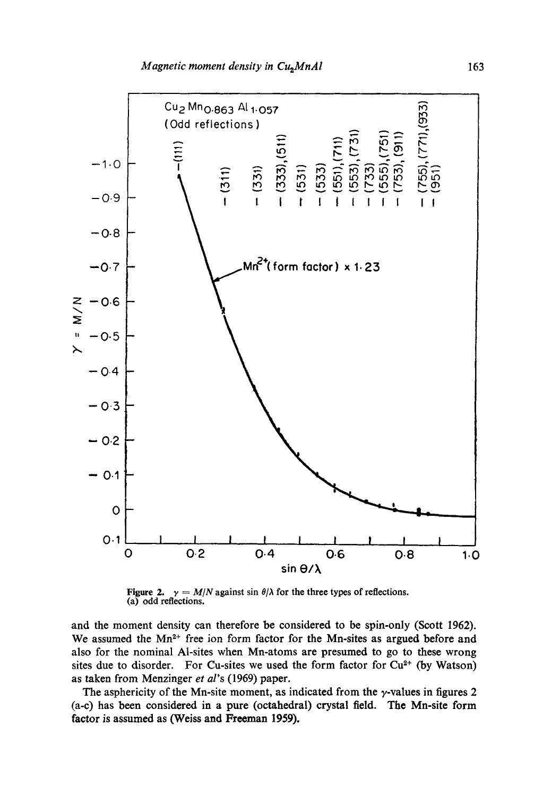

Figure 2.  $\gamma = M/N$  against sin  $\theta/\lambda$  for the three types of reflections. (a) odd reflections.

and the moment density can therefore be considered to be spin-only (Scott I962). We assumed the  $Mn^{2+}$  free ion form factor for the Mn-sites as argued before and also for the nominal Al-sites when Mn-atoms are presumed to go to these wrong sites due to disorder. For Cu-sites we used the form factor for  $Cu<sup>2+</sup>$  (by Watson) as taken from Menzinger *et al's* (1969) paper.

The asphericity of the Mn-site moment, as indicated from the  $\gamma$ -values in figures 2 (a-c) has been considered in a pure (octahedral) crystal field. The Mn-site form factor is assumed as (Weiss and Freeman 1959).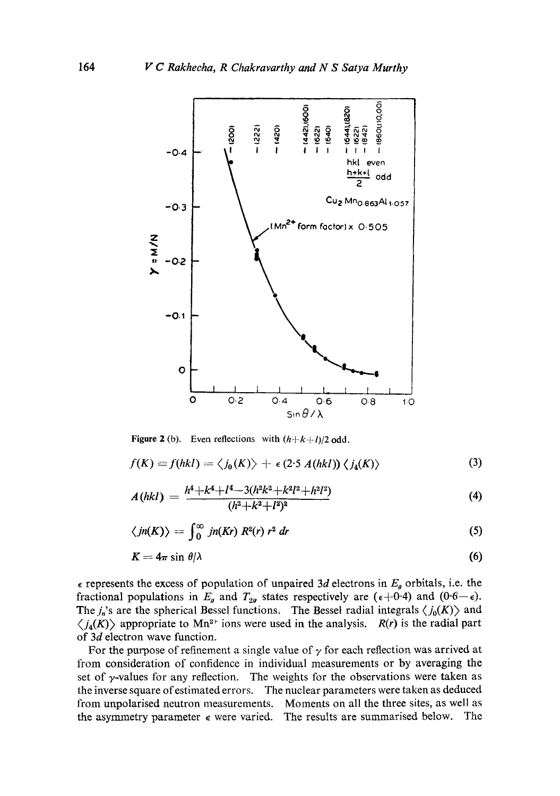

Figure 2 (b). Even reflections with  $(h+k+l)/2$  odd.

$$
f(K) \equiv f(hkl) = \langle j_0(K) \rangle + \epsilon (2.5 A(hkl)) \langle j_4(K) \rangle \tag{3}
$$

$$
A(hkl) = \frac{h^4 + k^4 + l^4 - 3(h^2k^2 + k^2l^2 + h^2l^2)}{(h^2 + k^2 + l^2)^2}
$$
\n<sup>(4)</sup>

$$
\langle jn(K) \rangle = \int_0^\infty jn(Kr) \, R^2(r) \, r^2 \, dr \tag{5}
$$

$$
K=4\pi\sin\theta/\lambda\tag{6}
$$

 $\epsilon$  represents the excess of population of unpaired 3d electrons in  $E_g$  orbitals, i.e. the fractional populations in  $E_g$  and  $T_{2g}$  states respectively are ( $\epsilon + 0.4$ ) and ( $0.6 - \epsilon$ ). The  $j_n$ 's are the spherical Bessel functions. The Bessel radial integrals  $\langle j_0(K) \rangle$  and  $\langle j_4(K) \rangle$  appropriate to Mn<sup>2+</sup> ions were used in the analysis. *R(r)* is the radial part of 3d electron wave function.

For the purpose of refinement a single value of  $\gamma$  for each reflection was arrived at from consideration of confidence in individual measurements or by averaging the set of  $\gamma$ -values for any reflection. The weights for the observations were taken as the inverse square of estimated errors. The nuclear parameters were taken as deduced from unpolarised neutron measurements. Moments on all the three sites, as well as the asymmetry parameter  $\epsilon$  were varied. The results are summarised below. The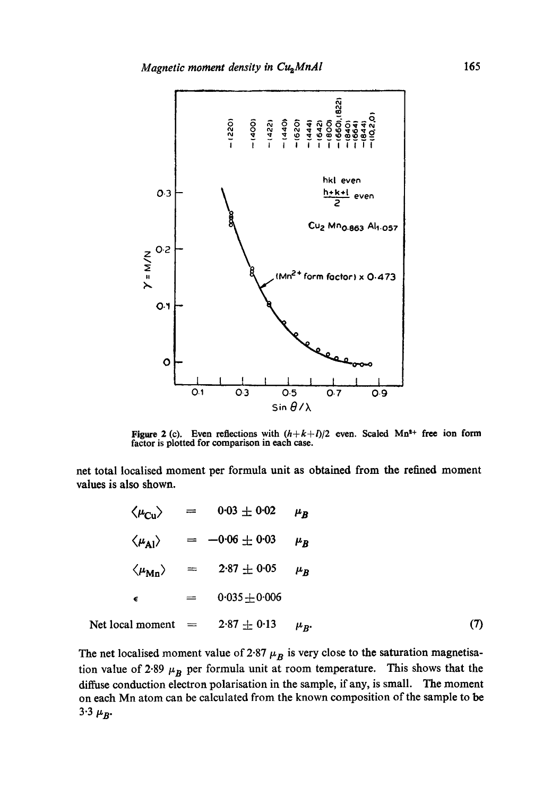

Figure 2 (c). Even reflections with  $(h+k+l)/2$  even. Scaled Mn<sup>2+</sup> free ion form factor is plotted for comparison in each case.

net total localised moment per formula unit as obtained from the refined moment values is also shown.

$$
\langle \mu_{\text{Cu}} \rangle = 0.03 \pm 0.02 \quad \mu_B
$$
\n
$$
\langle \mu_{\text{Al}} \rangle = -0.06 \pm 0.03 \quad \mu_B
$$
\n
$$
\langle \mu_{\text{Mn}} \rangle = 2.87 \pm 0.05 \quad \mu_B
$$
\n
$$
\epsilon = 0.035 \pm 0.006
$$
\nNet local moment = 2.87 ± 0.13  $\mu_B$ . (7)

The net localised moment value of 2.87  $\mu_B$  is very close to the saturation magnetisation value of 2.89  $\mu_B$  per formula unit at room temperature. This shows that the diffuse conduction electron polarisation in the sample, if any, is small. The moment on each Mn atom can be calculated from the known composition of the sample to be 3.3  $\mu_B$ .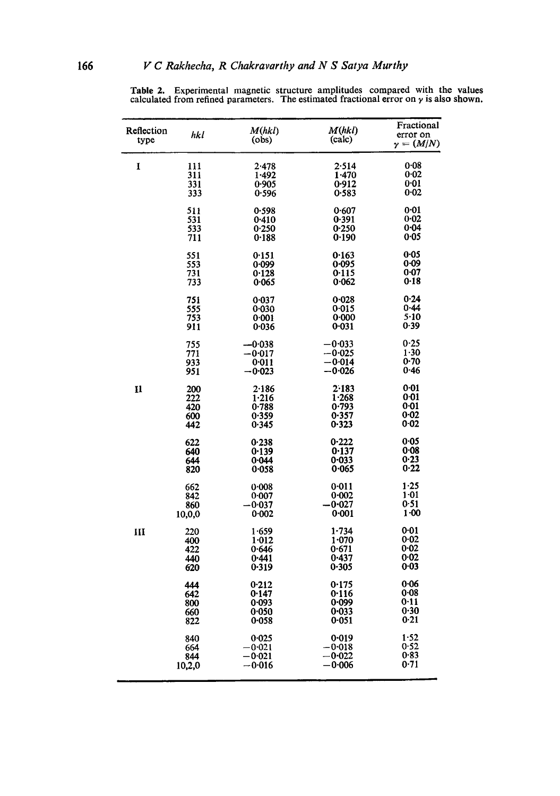| Reflection<br>type | hkl    | M(hkl)<br>(obs) | M(hkl)<br>(calc) | Fractional<br>error on<br>$\gamma = (M/N)$ |
|--------------------|--------|-----------------|------------------|--------------------------------------------|
| 1                  | 111    | 2.478           | 2-514            | 0.08                                       |
|                    | 311    | 1.492           | 1.470            | 0.02                                       |
|                    | 331    | 0.905           | 0.912            | 0:01                                       |
|                    | 333    | 0.596           | 0.583            | $0 - 02$                                   |
|                    | 511    | 0.598           | 0.607            | 0.01                                       |
|                    | 531    | 0.410           | 0-391            | $0 - 02$                                   |
|                    | 533    | 0.250           | 0.250            | 0.04                                       |
|                    | 711    | 0.188           | 0.190            | 0.05                                       |
|                    | 551    | 0.151           | 0.163            | 0.05                                       |
|                    | 553    | 0.099           | 0.095            | $0 - 09$                                   |
|                    | 731    | 0.128           | 0.115            | $0 - 07$                                   |
|                    | 733    | 0.065           | 0.062            | 0.18                                       |
|                    | 751    | 0.037           | 0.028            | 0.24                                       |
|                    | 555    | 0.030           | 0.015            | $0 - 44$                                   |
|                    | 753    | 0:001           | 0.000            | $5-10$                                     |
|                    | 911    | 0.036           | 0.031            | 0.39                                       |
|                    | 755    | –0∙038          | —0∙033           | 0-25                                       |
|                    | 771    | $-0.017$        | $-0.025$         | $1 - 30$                                   |
|                    | 933    | 0:011           | —0∙014           | 0.70                                       |
|                    | 951    | -0•023          | —0∙026           | 0.46                                       |
| 11                 | 200    | 2.186           | 2.183            | 0.01                                       |
|                    | 222    | 1.216           | 1.268            | 0-01                                       |
|                    | 420    | 0.788           | 0.793            | 0.01                                       |
|                    | 600    | 0.359           | 0.357            | $0 - 02$                                   |
|                    | 442    | 0.345           | 0.323            | 0.02                                       |
|                    | 622    | 0.238           | 0.222            | 0.05                                       |
|                    | 640    | 0.139           | 0.137            | $0 - 08$                                   |
|                    | 644    | 0.044           | 0.033            | 0.23                                       |
|                    | 820    | 0.058           | 0.065            | 0.22                                       |
|                    | 662    | 0.008           | 0.011            | 1.25                                       |
|                    | 842    | 0.007           | 0:002            | 1.01                                       |
|                    | 860    | $-0.037$        | -0∙027           | 0.51                                       |
|                    | 10,0,0 | 0.002           | 0:001            | $1 - 00$                                   |
| Ш                  | 220    | 1.659           | 1.734            | 0.01                                       |
|                    | 400    | 1:012           | 1.070            | 0.02                                       |
|                    | 422    | 0.646           | 0.671            | 0.02                                       |
|                    | 440    | 0.441           | 0.437            | 0.02                                       |
|                    | 620    | 0.319           | 0.305            | 0.03                                       |
|                    | 444    | 0.212           | 0.175            | $0 - 06$                                   |
|                    | 642    | 0.147           | 0.116            | 0.08                                       |
|                    | 800    | 0.093           | 0.099            | 0.11                                       |
|                    | 660    | 0.050           | 0.033            | 0.30                                       |
|                    | 822    | 0.058           | 0.051            | 0.21                                       |
|                    | 840    | 0.025           | 0.019            | 1.52                                       |
|                    | 664    | $-0.021$        | -0.018           | 0-52<br>0.83                               |
|                    | 844    | —0∙021          | -0.022           | 0.71                                       |
|                    | 10,2,0 | −0.016          | -0∙006           |                                            |

Table 2. Experimental magnetic structure amplitudes compared with the values calculated from refined parameters. The estimated fractional error on  $\gamma$  is also shown.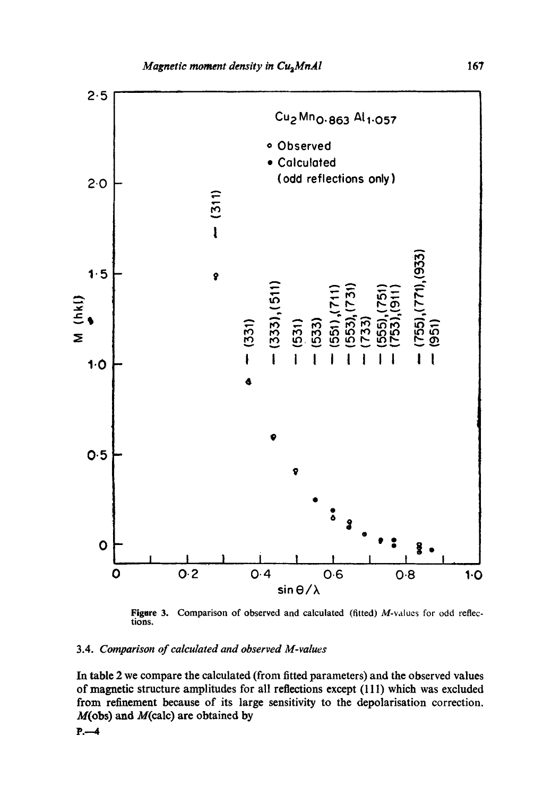

Figure 3. Comparison of observed and calculated (fitted) M-values for odd reflec**tions.** 

# **3.4.** *Comparison of calculated and observed M-values*

**In table 2 we compare the calculated (from fitted parameters) and the observed values of magnetic structure amplitudes for all reflections except (111) which was excluded from refinement because of its large sensitivity to the depolarisation correction. M(obs) and M(calc) are obtained by** 

**P...--4**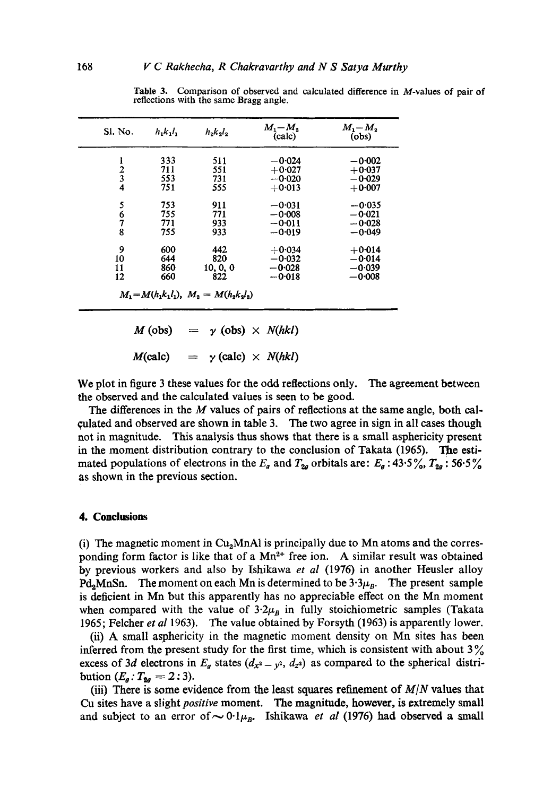| Sl. No.                                    | $h_1k_1l_1$ | $h_2k_2l_2$ | $M_1-M_2$<br>(calc)  | $M_1 - M_2$<br>(obs) |
|--------------------------------------------|-------------|-------------|----------------------|----------------------|
|                                            | 333         | 511         | $-0.024$             | $-0.002$             |
|                                            | 711<br>553  | 551<br>731  | $+0.027$<br>$-0.020$ | $+0.037$<br>$-0.029$ |
| $\begin{array}{c} 2 \\ 3 \\ 4 \end{array}$ | 751         | 555         | $+0.013$             | $+0.007$             |
|                                            |             |             |                      |                      |
| 5                                          | 753         | 911         | $-0.031$             | $-0.035$             |
| $\frac{6}{7}$                              | 755         | 771         | $-0.008$             | $-0.021$             |
|                                            | 771         | 933         | $-0.011$             | $-0.028$             |
|                                            | 755         | 933         | $-0.019$             | $-0.049$             |
| 9                                          | 600         | 442         | $+0.034$             | $+0.014$             |
| 10                                         | 644         | 820         | $-0.032$             | $-0.014$             |
| 11                                         | 860         | 10, 0, 0    | $-0.028$             | $-0.039$             |
| 12                                         | 660         | 822         | $-0.018$             | $-0.008$             |

**Table** 3. Comparison of observed and calculated difference in M-values of pair of reflections with the same Bragg angle.

 $M$  (obs) =  $\gamma$  (obs)  $\times$  *N(hkl)*  $M(\text{calc}) = \gamma(\text{calc}) \times N(hkl)$ 

We plot in figure 3 these values for the odd reflections only. The agreement between the observed and the calculated values is seen to be good.

The differences in the M values of pairs of reflections at the same angle, both calculated and observed are shown in table 3. The two agree in sign in all cases though not in magnitude. This analysis thus shows that there is a small asphericity present in the moment distribution contrary to the conclusion of Takata (1965). The estimated populations of electrons in the  $E_g$  and  $T_{2g}$  orbitals are:  $E_g$ : 43.5%,  $T_{2g}$ : 56.5% as shown in the previous section.

#### **4. Conclusions**

(i) The magnetic moment in  $Cu<sub>2</sub>MnAl$  is principally due to Mn atoms and the corresponding form factor is like that of a  $Mn^{2+}$  free ion. A similar result was obtained by previous workers and also by Ishikawa *et al* (1976) in another Heusler alloy Pd<sub>a</sub>MnSn. The moment on each Mn is determined to be  $3.3\mu_B$ . The present sample is deficient in Mn but this apparently has no appreciable effect on the Mn moment when compared with the value of  $3.2\mu_B$  in fully stoichiometric samples (Takata 1965; Felcher *et al* 1963). The value obtained by Forsyth (1963) is apparently lower.

(ii) A small asphericity in the magnetic moment density on Mn sites has been inferred from the present study for the first time, which is consistent with about  $3\%$ excess of 3d electrons in  $E_g$  states  $(d_{x^2-y^2}, d_{z^2})$  as compared to the spherical distribution  $(E_{g}: T_{2g} = 2 : 3)$ .

(iii) There is some evidence from the least squares refinement of *M/N* values that Cu sites have a slight *positive* moment. The magnitude, however, is extremely small and subject to an error of  $\sim 0.1\mu_B$ . Ishikawa *et al* (1976) had observed a small